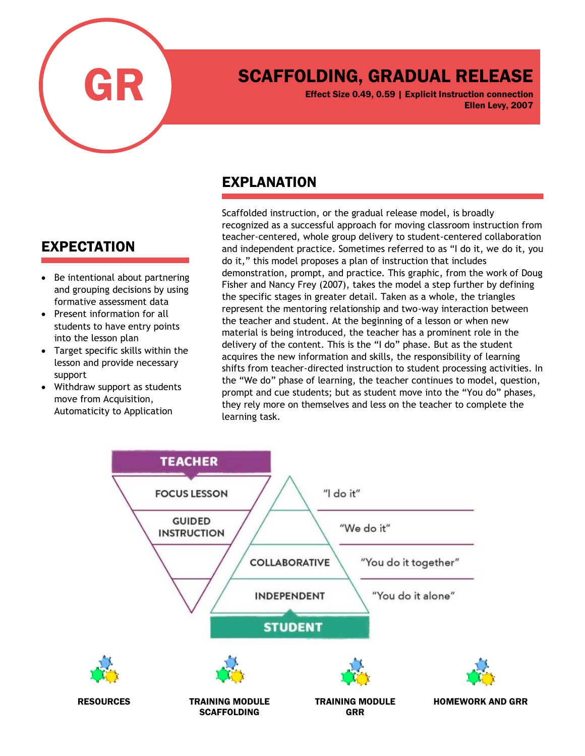

# SCAFFOLDING, GRADUAL RELEASE

Effect Size 0.49, 0.59 | Explicit Instruction connection Ellen Levy, 2007

## EXPLANATION

Scaffolded instruction, or the gradual release model, is broadly recognized as a successful approach for moving classroom instruction from teacher-centered, whole group delivery to student-centered collaboration and independent practice. Sometimes referred to as "I do it, we do it, you do it," this model proposes a plan of instruction that includes demonstration, prompt, and practice. This graphic, from the work of Doug Fisher and Nancy Frey (2007), takes the model a step further by defining the specific stages in greater detail. Taken as a whole, the triangles represent the mentoring relationship and two-way interaction between the teacher and student. At the beginning of a lesson or when new material is being introduced, the teacher has a prominent role in the delivery of the content. This is the "I do" phase. But as the student acquires the new information and skills, the responsibility of learning shifts from teacher-directed instruction to student processing activities. In the "We do" phase of learning, the teacher continues to model, question, prompt and cue students; but as student move into the "You do" phases, they rely more on themselves and less on the teacher to complete the learning task.



## EXPECTATION

- Be intentional about partnering and grouping decisions by using formative assessment data
- Present information for all students to have entry points into the lesson plan
- Target specific skills within the lesson and provide necessary support
- Withdraw support as students move from Acquisition, Automaticity to Application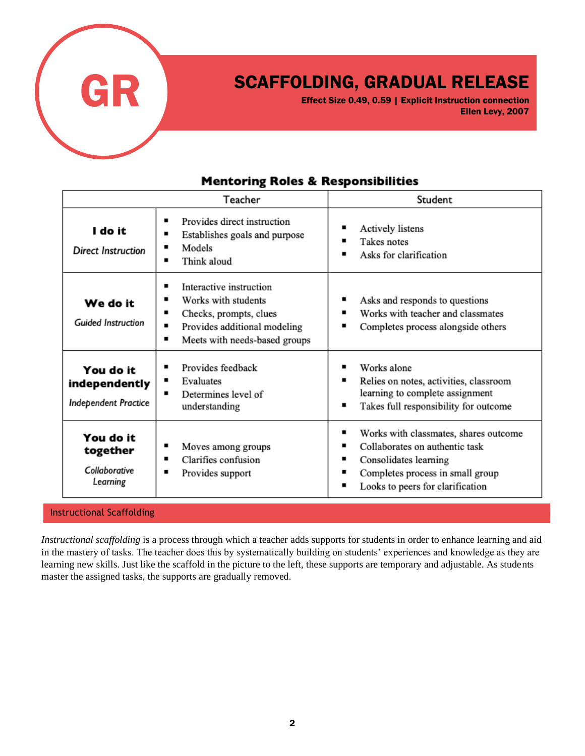

## SCAFFOLDING, GRADUAL RELEASE

Effect Size 0.49, 0.59 | Explicit Instruction connection Ellen Levy, 2007

#### **Mentoring Roles & Responsibilities**

|                                                    | Teacher                                                                                                                                                            | Student                                                                                                                                                                       |
|----------------------------------------------------|--------------------------------------------------------------------------------------------------------------------------------------------------------------------|-------------------------------------------------------------------------------------------------------------------------------------------------------------------------------|
| I do it<br>Direct Instruction                      | Provides direct instruction<br>٠<br>Establishes goals and purpose<br>٠<br>Models<br>٠<br>Think aloud                                                               | Actively listens<br>Takes notes<br>Asks for clarification                                                                                                                     |
| We do it<br><b>Guided Instruction</b>              | Interactive instruction<br>٠<br>Works with students<br>٠<br>٠<br>Checks, prompts, clues<br>Provides additional modeling<br>٠<br>Meets with needs-based groups<br>٠ | Asks and responds to questions<br>Works with teacher and classmates<br>Completes process alongside others                                                                     |
| You do it<br>independently<br>Independent Practice | Provides feedback<br>٠<br>Evaluates<br>٠<br>Determines level of<br>٠<br>understanding                                                                              | Works alone<br>Relies on notes, activities, classroom<br>٠<br>learning to complete assignment<br>Takes full responsibility for outcome<br>■                                   |
| You do it<br>together<br>Collaborative<br>Learning | Moves among groups<br>Clarifies confusion<br>Provides support                                                                                                      | Works with classmates, shares outcome<br>Collaborates on authentic task<br>Consolidates learning<br>■<br>Completes process in small group<br>Looks to peers for clarification |

#### Instructional Scaffolding

*Instructional scaffolding* is a process through which a teacher adds supports for students in order to enhance learning and aid in the mastery of tasks. The teacher does this by systematically building on students' experiences and knowledge as they are learning new skills. Just like the scaffold in the picture to the left, these supports are temporary and adjustable. As students master the assigned tasks, the supports are gradually removed.